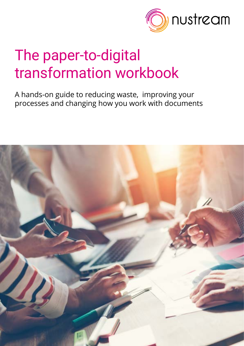

# The paper-to-digital transformation workbook

A hands-on guide to reducing waste, improving your processes and changing how you work with documents

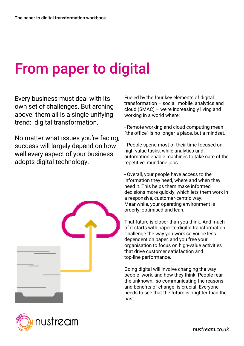# From paper to digital

Every business must deal with its own set of challenges. But arching above them all is a single unifying trend: digital transformation.

No matter what issues you're facing, success will largely depend on how well every aspect of your business adopts digital technology.





Fueled by the four key elements of digital transformation – social, mobile, analytics and cloud (SMAC) – we're increasingly living and working in a world where:

- Remote working and cloud computing mean "the office" is no longer a place, but a mindset.

- People spend most of their time focused on high-value tasks, while analytics and automation enable machines to take care of the repetitive, mundane jobs.

- Overall, your people have access to the information they need, where and when they need it. This helps them make informed decisions more quickly, which lets them work in a responsive, customer-centric way. Meanwhile, your operating environment is orderly, optimised and lean.

That future is closer than you think. And much of it starts with paper-to-digital transformation. Challenge the way you work so you're less dependent on paper, and you free your organisation to focus on high-value activities that drive customer satisfaction and top-line performance.

Going digital will involve changing the way people work, and how they think. People fear the unknown, so communicating the reasons and benefits of change is crucial. Everyone needs to see that the future is brighter than the past.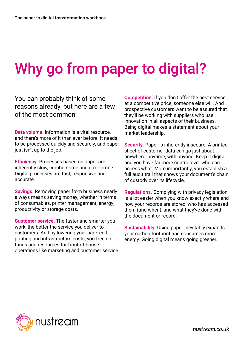# Why go from paper to digital?

You can probably think of some reasons already, but here are a few of the most common:

**Data volume**. Information is a vital resource, and there's more of it than ever before. It needs to be processed quickly and securely, and paper just isn't up to the job.

**Efficiency.** Processes based on paper are inherently slow, cumbersome and error-prone. Digital processes are fast, responsive and accurate.

**Savings.** Removing paper from business nearly always means saving money, whether in terms of consumables, printer management, energy, productivity or storage costs.

**Customer service.** The faster and smarter you work, the better the service you deliver to customers. And by lowering your back-end printing and infrastructure costs, you free up funds and resources for front-of-house operations like marketing and customer service. **Competition.** If you don't offer the best service at a competitive price, someone else will. And prospective customers want to be assured that they'll be working with suppliers who use innovation in all aspects of their business. Being digital makes a statement about your market leadership.

**Security.** Paper is inherently insecure. A printed sheet of customer data can go just about anywhere, anytime, with anyone. Keep it digital and you have far more control over who can access what. More importantly, you establish a full audit trail that shows your document's chain of custody over its lifecycle.

**Regulations.** Complying with privacy legislation is a lot easier when you know exactly where and how your records are stored, who has accessed them (and when), and what they've done with the document or record.

**Sustainability.** Using paper inevitably expands your carbon footprint and consumes more energy. Going digital means going greener.

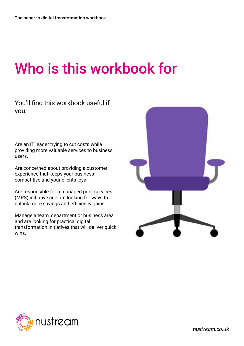# Who is this workbook for

#### You'll find this workbook useful if you:

Are an IT leader trying to cut costs while providing more valuable services to business users.

Are concerned about providing a customer experience that keeps your business competitive and your clients loyal.

Are responsible for a managed print services (MPS) initiative and are looking for ways to unlock more savings and efficiency gains.

Manage a team, department or business area and are looking for practical digital transformation initiatives that will deliver quick wins.



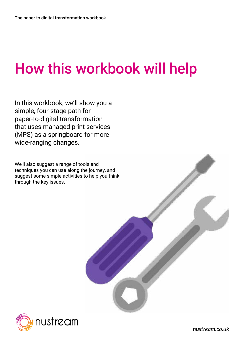# How this workbook will help

In this workbook, we'll show you a simple, four-stage path for paper-to-digital transformation that uses managed print services (MPS) as a springboard for more wide-ranging changes.

We'll also suggest a range of tools and techniques you can use along the journey, and suggest some simple activities to help you think through the key issues.

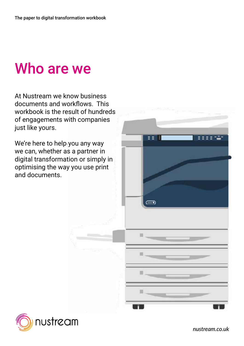#### Who are we

At Nustream we know business documents and workflows. This workbook is the result of hundreds of engagements with companies just like yours.

We're here to help you any way we can, whether as a partner in digital transformation or simply in optimising the way you use print and documents.



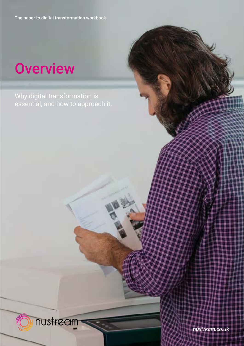The paper to digital transformation workbook

#### **Overview**

Why digital transformation is essential, and how to approach it.

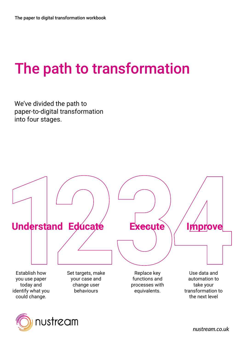# The path to transformation

We've divided the path to paper-to-digital transformation into four stages.



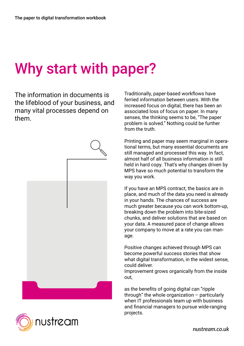### Why start with paper?

The information in documents is the lifeblood of your business, and many vital processes depend on them.



Traditionally, paper-based workflows have ferried information between users. With the increased focus on digital, there has been an associated loss of focus on paper. In many senses, the thinking seems to be, "The paper problem is solved." Nothing could be further from the truth.

Printing and paper may seem marginal in operational terms, but many essential documents are still managed and processed this way. In fact, almost half of all business information is still held in hard copy. That's why changes driven by MPS have so much potential to transform the way you work.

If you have an MPS contract, the basics are in place, and much of the data you need is already in your hands. The chances of success are much greater because you can work bottom-up, breaking down the problem into bite-sized chunks, and deliver solutions that are based on your data. A measured pace of change allows your company to move at a rate you can manage.

Positive changes achieved through MPS can become powerful success stories that show what digital transformation, in the widest sense, could deliver.

Improvement grows organically from the inside out,

as the benefits of going digital can "ripple through" the whole organization – particularly when IT professionals team up with business and financial managers to pursue wide-ranging projects.

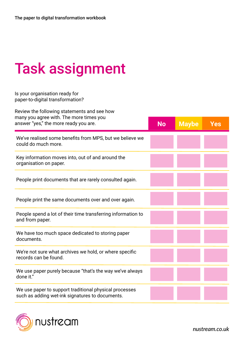# Task assignment

#### Is your organisation ready for paper-to-digital transformation?

| Review the following statements and see how                                                               |  |              |            |
|-----------------------------------------------------------------------------------------------------------|--|--------------|------------|
| many you agree with. The more times you<br>answer "yes," the more ready you are.                          |  | <b>Maybe</b> | <b>Yes</b> |
| We've realised some benefits from MPS, but we believe we<br>could do much more.                           |  |              |            |
| Key information moves into, out of and around the<br>organisation on paper.                               |  |              |            |
| People print documents that are rarely consulted again.                                                   |  |              |            |
| People print the same documents over and over again.                                                      |  |              |            |
| People spend a lot of their time transferring information to<br>and from paper.                           |  |              |            |
| We have too much space dedicated to storing paper<br>documents.                                           |  |              |            |
| We're not sure what archives we hold, or where specific<br>records can be found.                          |  |              |            |
| We use paper purely because "that's the way we've always<br>done it."                                     |  |              |            |
| We use paper to support traditional physical processes<br>such as adding wet-ink signatures to documents. |  |              |            |

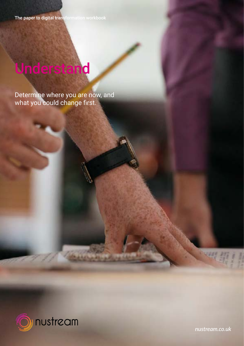The paper to digital transformation workbook

# Understand

Determine where you are now, and what you could change first.



*[nustream.co.uk](http://www.nustream.co.uk)*

四期1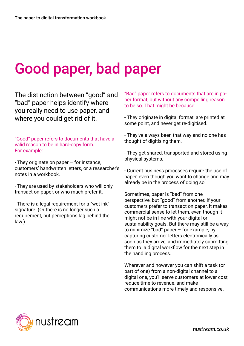# Good paper, bad paper

The distinction between "good" and "bad" paper helps identify where you really need to use paper, and where you could get rid of it.

"Good" paper refers to documents that have a valid reason to be in hard-copy form. For example:

- They originate on paper – for instance, customers' handwritten letters, or a researcher's notes in a workbook.

- They are used by stakeholders who will only transact on paper, or who much prefer it.

- There is a legal requirement for a "wet ink" signature. (Or there is no longer such a requirement, but perceptions lag behind the law.)

"Bad" paper refers to documents that are in paper format, but without any compelling reason to be so. That might be because:

- They originate in digital format, are printed at some point, and never get re-digitised.

- They've always been that way and no one has thought of digitising them.

- They get shared, transported and stored using physical systems.

- Current business processes require the use of paper, even though you want to change and may already be in the process of doing so.

Sometimes, paper is "bad" from one perspective, but "good" from another. If your customers prefer to transact on paper, it makes commercial sense to let them, even though it might not be in line with your digital or sustainability goals. But there may still be a way to minimize "bad" paper – for example, by capturing customer letters electronically as soon as they arrive, and immediately submitting them to a digital workflow for the next step in the handling process.

Wherever and however you can shift a task (or part of one) from a non-digital channel to a digital one, you'll serve customers at lower cost, reduce time to revenue, and make communications more timely and responsive.

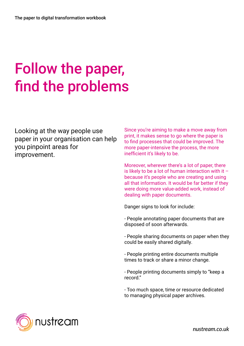# Follow the paper, find the problems

Looking at the way people use paper in your organisation can help you pinpoint areas for improvement.

Since you're aiming to make a move away from print, it makes sense to go where the paper is to find processes that could be improved. The more paper-intensive the process, the more inefficient it's likely to be.

Moreover, wherever there's a lot of paper, there is likely to be a lot of human interaction with it  $$ because it's people who are creating and using all that information. It would be far better if they were doing more value-added work, instead of dealing with paper documents.

Danger signs to look for include:

- People annotating paper documents that are disposed of soon afterwards.

- People sharing documents on paper when they could be easily shared digitally.

- People printing entire documents multiple times to track or share a minor change.

- People printing documents simply to "keep a record."

- Too much space, time or resource dedicated to managing physical paper archives.

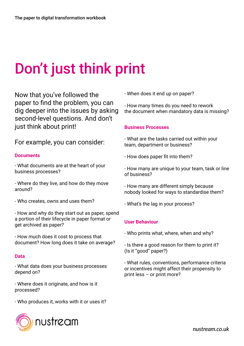# Don't just think print

Now that you've followed the paper to find the problem, you can dig deeper into the issues by asking second-level questions. And don't just think about print!

#### For example, you can consider:

#### **Documents**

- What documents are at the heart of your business processes?

- Where do they live, and how do they move around?

- Who creates, owns and uses them?
- How and why do they start out as paper, spend a portion of their lifecycle in paper format or get archived as paper?

- How much does it cost to process that document? How long does it take on average?

#### **Data**

- What data does your business processes depend on?

- Where does it originate, and how is it processed?

- Who produces it, works with it or uses it?

- When does it end up on paper?

- How many times do you need to rework the document when mandatory data is missing?

#### **Business Processes**

- What are the tasks carried out within your team, department or business?
- How does paper fit into them?
- How many are unique to your team, task or line of business?
- How many are different simply because nobody looked for ways to standardise them?
- What's the lag in your process?

#### **User Behaviour**

- Who prints what, where, when and why?
- Is there a good reason for them to print it? (Is it "good" paper?)

- What rules, conventions, performance criteria or incentives might affect their propensity to print less – or print more?

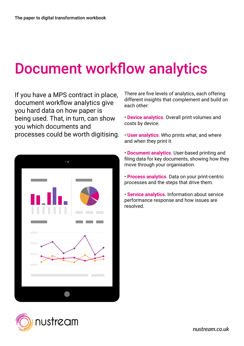### Document workflow analytics

If you have a MPS contract in place, document workflow analytics give you hard data on how paper is being used. That, in turn, can show you which documents and processes could be worth digitising.



There are five levels of analytics, each offering different insights that complement and build on each other:

• **Device analytics**. Overall print volumes and costs by device.

- **User analytics**. Who prints what, and where and when they print it.
- **Document analytics**. User-based printing and filing data for key documents, showing how they move through your organisation.
- **Process analytics**. Data on your print-centric processes and the steps that drive them.
- **Service analytics**. Information about service performance response and how issues are resolved.

![](_page_14_Picture_10.jpeg)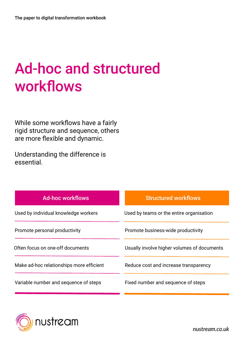# Ad-hoc and structured workflows

While some workflows have a fairly rigid structure and sequence, others are more flexible and dynamic.

Understanding the difference is essential.

| <b>Ad-hoc workflows</b>                  | <b>Structured workflows</b>                 |
|------------------------------------------|---------------------------------------------|
| Used by individual knowledge workers     | Used by teams or the entire organisation    |
| Promote personal productivity            | Promote business-wide productivity          |
| Often focus on one-off documents         | Usually involve higher volumes of documents |
| Make ad-hoc relationships more efficient | Reduce cost and increase transparency       |
| Variable number and sequence of steps    | Fixed number and sequence of steps          |

![](_page_15_Picture_5.jpeg)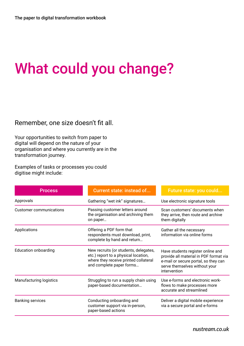# What could you change?

Remember, one size doesn't fit all.

Your opportunities to switch from paper to digital will depend on the nature of your organisation and where you currently are in the transformation journey.

Examples of tasks or processes you could digitise might include:

| <b>Process</b>                 | <b>Current state: instead of</b>                                                                                                                   | Future state: you could                                                                                                                                              |
|--------------------------------|----------------------------------------------------------------------------------------------------------------------------------------------------|----------------------------------------------------------------------------------------------------------------------------------------------------------------------|
| Approvals                      | Gathering "wet ink" signatures                                                                                                                     | Use electronic signature tools                                                                                                                                       |
| <b>Customer communications</b> | Passing customer letters around<br>the organisation and archiving them<br>on paper                                                                 | Scan customers' documents when<br>they arrive, then route and archive<br>them digitally                                                                              |
| Applications                   | Offering a PDF form that<br>respondents must download, print,<br>complete by hand and return                                                       | Gather all the necessary<br>information via online forms                                                                                                             |
| <b>Education onboarding</b>    | New recruits (or students, delegates,<br>etc.) report to a physical location,<br>where they receive printed collateral<br>and complete paper forms | Have students register online and<br>provide all material in PDF format via<br>e-mail or secure portal, so they can<br>serve themselves without your<br>intervention |
| <b>Manufacturing logistics</b> | Struggling to run a supply chain using<br>paper-based documentation                                                                                | Use e-forms and electronic work-<br>flows to make processes more<br>accurate and streamlined                                                                         |
| <b>Banking services</b>        | Conducting onboarding and<br>customer support via in-person,<br>paper-based actions                                                                | Deliver a digital mobile experience<br>via a secure portal and e-forms                                                                                               |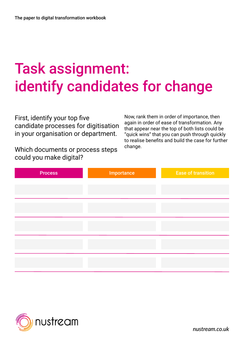# Task assignment: identify candidates for change

First, identify your top five candidate processes for digitisation in your organisation or department.

Which documents or process steps could you make digital?

Now, rank them in order of importance, then again in order of ease of transformation. Any that appear near the top of both lists could be "quick wins" that you can push through quickly to realise benefits and build the case for further change.

| <b>Process</b> | Importance | <b>Ease of transition</b> |
|----------------|------------|---------------------------|
|                |            |                           |
|                |            |                           |
|                |            |                           |
|                |            |                           |
|                |            |                           |
|                |            |                           |
|                |            |                           |
|                |            |                           |

![](_page_17_Picture_6.jpeg)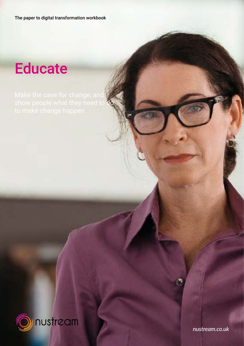The paper to digital transformation workbook

### **Educate**

![](_page_18_Picture_3.jpeg)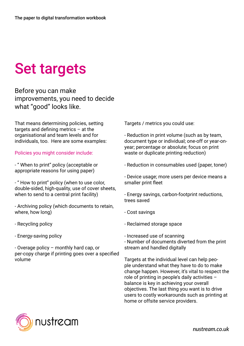# Set targets

Before you can make improvements, you need to decide what "good" looks like.

That means determining policies, setting targets and defining metrics – at the organisational and team levels and for individuals, too. Here are some examples:

Policies you might consider include:

- " When to print" policy (acceptable or appropriate reasons for using paper)

- " How to print" policy (when to use color, double-sided, high-quality, use of cover sheets, when to send to a central print facility)

- Archiving policy (which documents to retain, where, how long)

- Recycling policy

- Energy-saving policy

- Overage policy – monthly hard cap, or per-copy charge if printing goes over a specified volume

Targets / metrics you could use:

- Reduction in print volume (such as by team, document type or individual; one-off or year-onyear; percentage or absolute; focus on print waste or duplicate printing reduction)

- Reduction in consumables used (paper, toner)

- Device usage; more users per device means a smaller print fleet

- Energy savings, carbon-footprint reductions, trees saved

- Cost savings
- Reclaimed storage space

- Increased use of scanning

- Number of documents diverted from the print stream and handled digitally

Targets at the individual level can help people understand what they have to do to make change happen. However, it's vital to respect the role of printing in people's daily activities – balance is key in achieving your overall objectives. The last thing you want is to drive users to costly workarounds such as printing at home or offsite service providers.

![](_page_19_Picture_21.jpeg)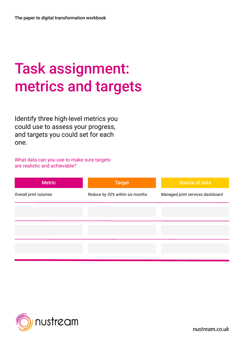# Task assignment: metrics and targets

Identify three high-level metrics you could use to assess your progress, and targets you could set for each one.

What data can you use to make sure targets are realistic and achievable?

| <b>Metric</b>         | Target                          | <b>Source of data</b>            |
|-----------------------|---------------------------------|----------------------------------|
| Overall print volumes | Reduce by 30% within six months | Managed print services dashboard |
|                       |                                 |                                  |
|                       |                                 |                                  |
|                       |                                 |                                  |
|                       |                                 |                                  |

![](_page_20_Picture_5.jpeg)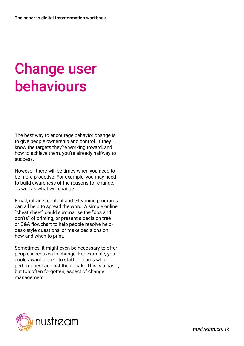# Change user behaviours

The best way to encourage behavior change is to give people ownership and control. If they know the targets they're working toward, and how to achieve them, you're already halfway to success.

However, there will be times when you need to be more proactive. For example, you may need to build awareness of the reasons for change, as well as what will change.

Email, intranet content and e-learning programs can all help to spread the word. A simple online "cheat sheet" could summarise the "dos and don'ts" of printing, or present a decision tree or Q&A flowchart to help people resolve helpdesk-style questions, or make decisions on how and when to print.

Sometimes, it might even be necessary to offer people incentives to change. For example, you could award a prize to staff or teams who perform best against their goals. This is a basic, but too often forgotten, aspect of change management.

![](_page_21_Picture_6.jpeg)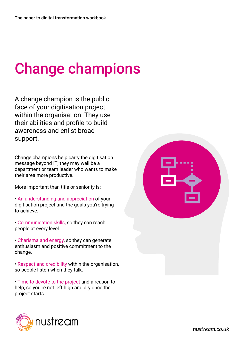# Change champions

A change champion is the public face of your digitisation project within the organisation. They use their abilities and profile to build awareness and enlist broad support.

Change champions help carry the digitisation message beyond IT; they may well be a department or team leader who wants to make their area more productive.

More important than title or seniority is:

- An understanding and appreciation of your digitisation project and the goals you're trying to achieve.
- Communication skills, so they can reach people at every level.
- Charisma and energy, so they can generate enthusiasm and positive commitment to the change.
- Respect and credibility within the organisation, so people listen when they talk.
- Time to devote to the project and a reason to help, so you're not left high and dry once the project starts.

![](_page_22_Picture_10.jpeg)

| $ \overline{ }$<br>$\overline{\phantom{a}}$<br>E<br><u>است</u> |  |
|----------------------------------------------------------------|--|
|                                                                |  |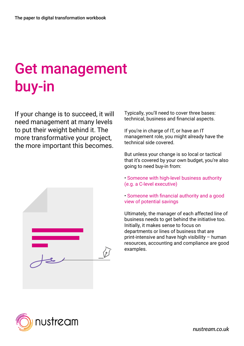# Get management buy-in

If your change is to succeed, it will need management at many levels to put their weight behind it. The more transformative your project, the more important this becomes.

![](_page_23_Picture_3.jpeg)

Typically, you'll need to cover three bases: technical, business and financial aspects.

If you're in charge of IT, or have an IT management role, you might already have the technical side covered.

But unless your change is so local or tactical that it's covered by your own budget, you're also going to need buy-in from:

• Someone with high-level business authority (e.g. a C-level executive)

• Someone with financial authority and a good view of potential savings

Ultimately, the manager of each affected line of business needs to get behind the initiative too. Initially, it makes sense to focus on departments or lines of business that are print-intensive and have high visibility – human resources, accounting and compliance are good examples.

![](_page_23_Picture_10.jpeg)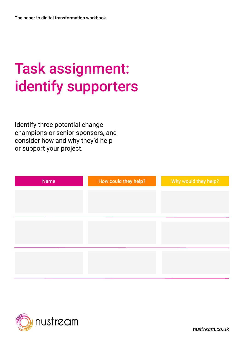# Task assignment: identify supporters

Identify three potential change champions or senior sponsors, and consider how and why they'd help or support your project.

| <b>Name</b> | How could they help? | Why would they help? |
|-------------|----------------------|----------------------|
|             |                      |                      |
|             |                      |                      |
|             |                      |                      |
|             |                      |                      |
|             |                      |                      |
|             |                      |                      |
|             |                      |                      |

![](_page_24_Picture_4.jpeg)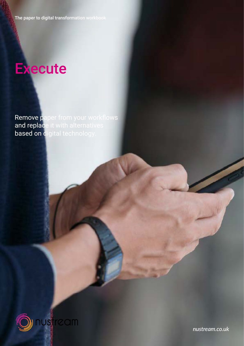#### **Execute**

**Remove paper from your workflows** and replace it with alternatives **based on digital technology.** 

![](_page_25_Picture_3.jpeg)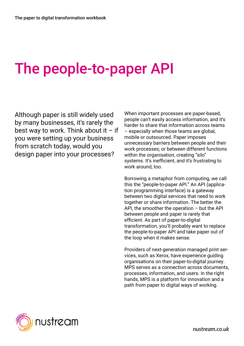#### The people-to-paper API

Although paper is still widely used by many businesses, it's rarely the best way to work. Think about it  $-$  if you were setting up your business from scratch today, would you design paper into your processes?

When important processes are paper-based, people can't easily access information, and it's harder to share that information across teams – especially when those teams are global, mobile or outsourced. Paper imposes unnecessary barriers between people and their work processes; or between different functions within the organisation, creating "silo" systems. It's inefficient, and it's frustrating to work around, too.

Borrowing a metaphor from computing, we call this the "people-to-paper API." An API (application programming interface) is a gateway between two digital services that need to work together or share information. The better the API, the smoother the operation  $-$  but the API between people and paper is rarely that efficient. As part of paper-to-digital transformation, you'll probably want to replace the people-to-paper API and take paper out of the loop when it makes sense.

Providers of next-generation managed print services, such as Xerox, have experience guiding organisations on their paper-to-digital journey. MPS serves as a connection across documents, processes, information, and users. In the right hands, MPS is a platform for innovation and a path from paper to digital ways of working.

![](_page_26_Picture_6.jpeg)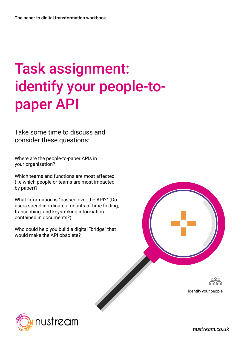# Task assignment: identify your people-topaper API

Take some time to discuss and consider these questions:

Where are the people-to-paper APIs in your organisation?

Which teams and functions are most affected (i.e which people or teams are most impacted by paper)?

What information is "passed over the API?" (Do users spend inordinate amounts of time finding, transcribing, and keystroking information contained in documents?)

Who could help you build a digital "bridge" that would make the API obsolete?

![](_page_27_Picture_7.jpeg)

![](_page_27_Picture_8.jpeg)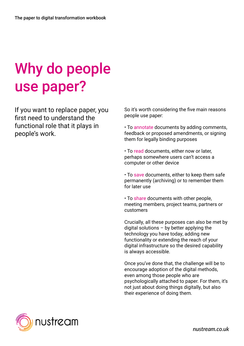# Why do people use paper?

If you want to replace paper, you first need to understand the functional role that it plays in people's work.

So it's worth considering the five main reasons people use paper:

• To annotate documents by adding comments, feedback or proposed amendments, or signing them for legally binding purposes

• To read documents, either now or later, perhaps somewhere users can't access a computer or other device

• To save documents, either to keep them safe permanently (archiving) or to remember them for later use

• To share documents with other people, meeting members, project teams, partners or customers

Crucially, all these purposes can also be met by digital solutions  $-$  by better applying the technology you have today, adding new functionality or extending the reach of your digital infrastructure so the desired capability is always accessible.

Once you've done that, the challenge will be to encourage adoption of the digital methods, even among those people who are psychologically attached to paper. For them, it's not just about doing things digitally, but also their experience of doing them.

![](_page_28_Picture_10.jpeg)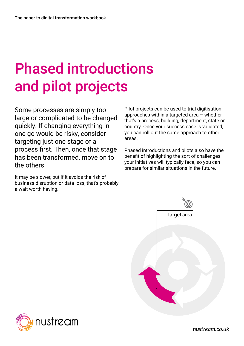# Phased introductions and pilot projects

Some processes are simply too large or complicated to be changed quickly. If changing everything in one go would be risky, consider targeting just one stage of a process first. Then, once that stage has been transformed, move on to the others.

It may be slower, but if it avoids the risk of business disruption or data loss, that's probably a wait worth having.

Pilot projects can be used to trial digitisation approaches within a targeted area – whether that's a process, building, department, state or country. Once your success case is validated, you can roll out the same approach to other areas.

Phased introductions and pilots also have the benefit of highlighting the sort of challenges your initiatives will typically face, so you can prepare for similar situations in the future.

![](_page_29_Figure_6.jpeg)

![](_page_29_Picture_7.jpeg)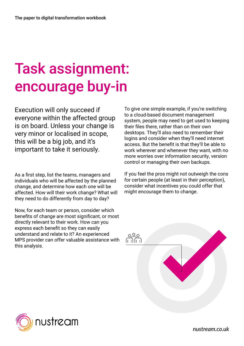# Task assignment: encourage buy-in

Execution will only succeed if everyone within the affected group is on board. Unless your change is very minor or localised in scope, this will be a big job, and it's important to take it seriously.

As a first step, list the teams, managers and individuals who will be affected by the planned change, and determine how each one will be affected. How will their work change? What will they need to do differently from day to day?

Now, for each team or person, consider which benefits of change are most significant, or most directly relevant to their work. How can you express each benefit so they can easily understand and relate to it? An experienced MPS provider can offer valuable assistance with this analysis.

To give one simple example, if you're switching to a cloud-based document management system, people may need to get used to keeping their files there, rather than on their own desktops. They'll also need to remember their logins and consider when they'll need internet access. But the benefit is that they'll be able to work wherever and whenever they want, with no more worries over information security, version control or managing their own backups.

If you feel the pros might not outweigh the cons for certain people (at least in their perception), consider what incentives you could offer that might encourage them to change.

![](_page_30_Figure_7.jpeg)

![](_page_30_Picture_8.jpeg)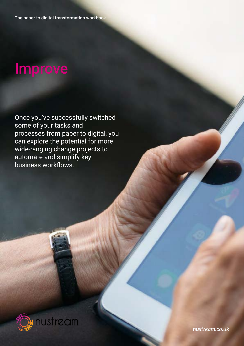#### Improve

Once you've successfully switched some of your tasks and processes from paper to digital, you can explore the potential for more wide-ranging change projects to automate and simplify key business workflows.

![](_page_31_Picture_3.jpeg)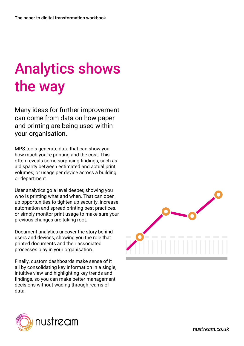# Analytics shows the way

Many ideas for further improvement can come from data on how paper and printing are being used within your organisation.

MPS tools generate data that can show you how much you're printing and the cost. This often reveals some surprising findings, such as a disparity between estimated and actual print volumes; or usage per device across a building or department.

User analytics go a level deeper, showing you who is printing what and when. That can open up opportunities to tighten up security, increase automation and spread printing best practices, or simply monitor print usage to make sure your previous changes are taking root.

Document analytics uncover the story behind users and devices, showing you the role that printed documents and their associated processes play in your organisation.

Finally, custom dashboards make sense of it all by consolidating key information in a single, intuitive view and highlighting key trends and findings, so you can make better management decisions without wading through reams of data.

![](_page_32_Picture_7.jpeg)

![](_page_32_Picture_8.jpeg)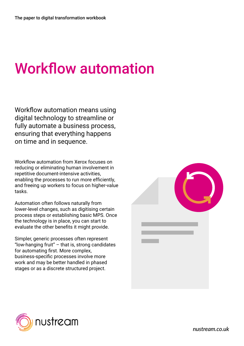### Workflow automation

Workflow automation means using digital technology to streamline or fully automate a business process, ensuring that everything happens on time and in sequence.

Workflow automation from Xerox focuses on reducing or eliminating human involvement in repetitive document-intensive activities, enabling the processes to run more efficiently, and freeing up workers to focus on higher-value tasks.

Automation often follows naturally from lower-level changes, such as digitising certain process steps or establishing basic MPS. Once the technology is in place, you can start to evaluate the other benefits it might provide.

Simpler, generic processes often represent "low-hanging fruit"  $-$  that is, strong candidates for automating first. More complex, business-specific processes involve more work and may be better handled in phased stages or as a discrete structured project.

![](_page_33_Picture_6.jpeg)

![](_page_33_Picture_7.jpeg)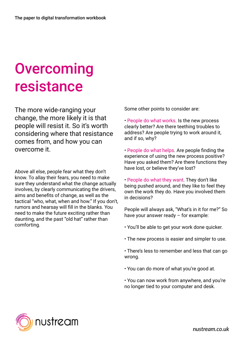# **Overcoming** resistance

The more wide-ranging your change, the more likely it is that people will resist it. So it's worth considering where that resistance comes from, and how you can overcome it.

Above all else, people fear what they don't know. To allay their fears, you need to make sure they understand what the change actually involves, by clearly communicating the drivers, aims and benefits of change, as well as the tactical "who, what, when and how." If you don't, rumors and hearsay will fill in the blanks. You need to make the future exciting rather than daunting, and the past "old hat" rather than comforting.

Some other points to consider are:

• People do what works. Is the new process clearly better? Are there teething troubles to address? Are people trying to work around it, and if so, why?

• People do what helps. Are people finding the experience of using the new process positive? Have you asked them? Are there functions they have lost, or believe they've lost?

• People do what they want. They don't like being pushed around, and they like to feel they own the work they do. Have you involved them in decisions?

People will always ask, "What's in it for me?" So have your answer ready – for example:

- You'll be able to get your work done quicker.
- The new process is easier and simpler to use.
- There's less to remember and less that can go wrong.
- You can do more of what you're good at.
- You can now work from anywhere, and you're no longer tied to your computer and desk.

![](_page_34_Picture_14.jpeg)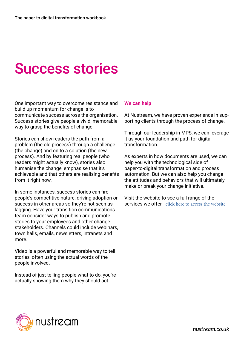### Success stories

One important way to overcome resistance and build up momentum for change is to communicate success across the organisation. Success stories give people a vivid, memorable way to grasp the benefits of change.

Stories can show readers the path from a problem (the old process) through a challenge (the change) and on to a solution (the new process). And by featuring real people (who readers might actually know), stories also humanise the change, emphasise that it's achievable and that others are realising benefits from it right now.

In some instances, success stories can fire people's competitive nature, driving adoption or success in other areas so they're not seen as lagging. Have your transition communications team consider ways to publish and promote stories to your employees and other change stakeholders. Channels could include webinars, town halls, emails, newsletters, intranets and more.

Video is a powerful and memorable way to tell stories, often using the actual words of the people involved.

Instead of just telling people what to do, you're actually showing them why they should act.

#### **We can help**

At Nustream, we have proven experience in supporting clients through the process of change.

Through our leadership in MPS, we can leverage it as your foundation and path for digital transformation.

As experts in how documents are used, we can help you with the technological side of paper-to-digital transformation and process automation. But we can also help you change the attitudes and behaviors that will ultimately make or break your change initiative.

Visit the website to see a full range of the services we offer - [click here to access the website](http://www.nustream.co.uk/services/)

![](_page_35_Picture_12.jpeg)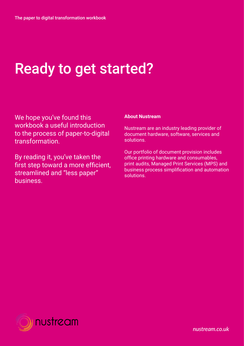### Ready to get started?

We hope you've found this workbook a useful introduction to the process of paper-to-digital transformation.

By reading it, you've taken the first step toward a more efficient, streamlined and "less paper" business.

#### **About Nustream**

Nustream are an industry leading provider of document hardware, software, services and solutions.

Our portfolio of document provision includes office printing hardware and consumables, print audits, Managed Print Services (MPS) and business process simplification and automation solutions.

![](_page_36_Picture_7.jpeg)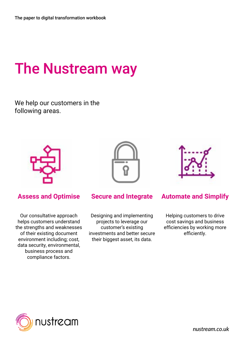### The Nustream way

We help our customers in the following areas.

![](_page_37_Picture_3.jpeg)

![](_page_37_Picture_4.jpeg)

![](_page_37_Picture_5.jpeg)

Our consultative approach helps customers understand the strengths and weaknesses of their existing document environment including; cost, data security, environmental, business process and compliance factors.

Designing and implementing projects to leverage our customer's existing investments and better secure their biggest asset, its data.

#### **Assess and Optimise Secure and Integrate Automate and Simplify**

Helping customers to drive cost savings and business efficiencies by working more efficiently.

![](_page_37_Picture_12.jpeg)